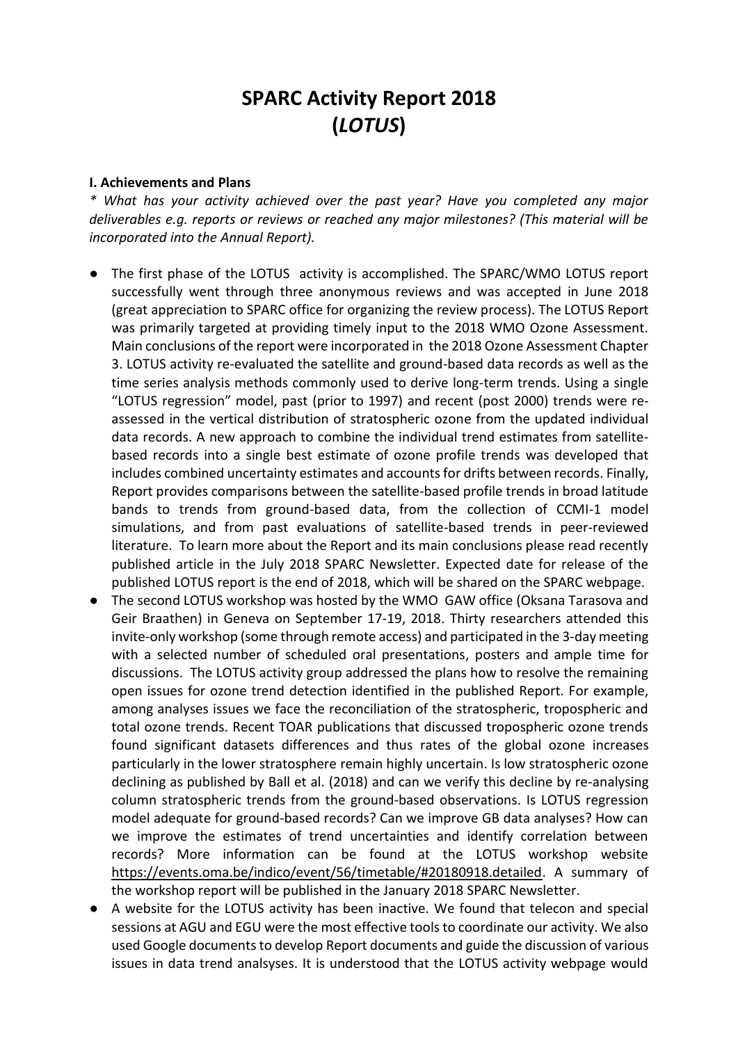# **SPARC Activity Report 2018 (***LOTUS***)**

#### **I. Achievements and Plans**

*\* What has your activity achieved over the past year? Have you completed any major deliverables e.g. reports or reviews or reached any major milestones? (This material will be incorporated into the Annual Report).*

- The first phase of the LOTUS activity is accomplished. The SPARC/WMO LOTUS report successfully went through three anonymous reviews and was accepted in June 2018 (great appreciation to SPARC office for organizing the review process). The LOTUS Report was primarily targeted at providing timely input to the 2018 WMO Ozone Assessment. Main conclusions of the report were incorporated in the 2018 Ozone Assessment Chapter 3. LOTUS activity re-evaluated the satellite and ground-based data records as well as the time series analysis methods commonly used to derive long-term trends. Using a single "LOTUS regression" model, past (prior to 1997) and recent (post 2000) trends were reassessed in the vertical distribution of stratospheric ozone from the updated individual data records. A new approach to combine the individual trend estimates from satellitebased records into a single best estimate of ozone profile trends was developed that includes combined uncertainty estimates and accounts for drifts between records. Finally, Report provides comparisons between the satellite-based profile trends in broad latitude bands to trends from ground-based data, from the collection of CCMI-1 model simulations, and from past evaluations of satellite-based trends in peer-reviewed literature. To learn more about the Report and its main conclusions please read recently published article in the July 2018 SPARC Newsletter. Expected date for release of the published LOTUS report is the end of 2018, which will be shared on the SPARC webpage.
- The second LOTUS workshop was hosted by the WMO GAW office (Oksana Tarasova and Geir Braathen) in Geneva on September 17-19, 2018. Thirty researchers attended this invite-only workshop (some through remote access) and participated in the 3-day meeting with a selected number of scheduled oral presentations, posters and ample time for discussions. The LOTUS activity group addressed the plans how to resolve the remaining open issues for ozone trend detection identified in the published Report. For example, among analyses issues we face the reconciliation of the stratospheric, tropospheric and total ozone trends. Recent TOAR publications that discussed tropospheric ozone trends found significant datasets differences and thus rates of the global ozone increases particularly in the lower stratosphere remain highly uncertain. Is low stratospheric ozone declining as published by Ball et al. (2018) and can we verify this decline by re-analysing column stratospheric trends from the ground-based observations. Is LOTUS regression model adequate for ground-based records? Can we improve GB data analyses? How can we improve the estimates of trend uncertainties and identify correlation between records? More information can be found at the LOTUS workshop website https://events.oma.be/indico/event/56/timetable/#20180918.detailed. A summary of the workshop report will be published in the January 2018 SPARC Newsletter.
- A website for the LOTUS activity has been inactive. We found that telecon and special sessions at AGU and EGU were the most effective tools to coordinate our activity. We also used Google documents to develop Report documents and guide the discussion of various issues in data trend analsyses. It is understood that the LOTUS activity webpage would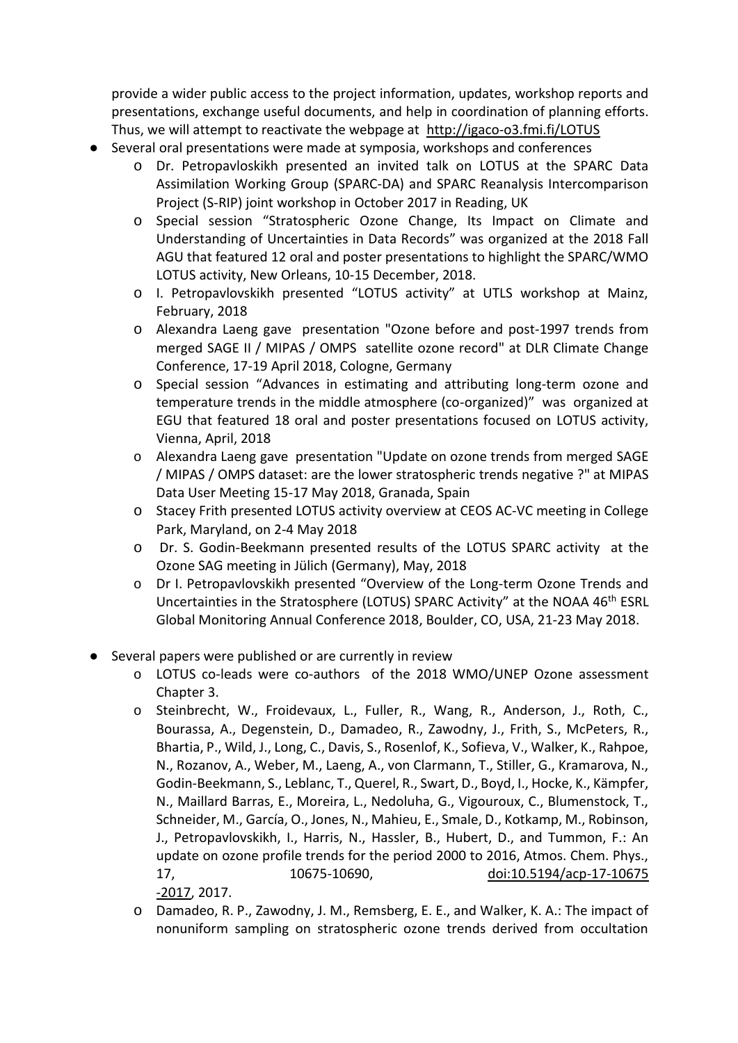provide a wider public access to the project information, updates, workshop reports and presentations, exchange useful documents, and help in coordination of planning efforts. Thus, we will attempt to reactivate the webpage at <http://igaco-o3.fmi.fi/LOTUS>

- Several oral presentations were made at symposia, workshops and conferences
	- o Dr. Petropavloskikh presented an invited talk on LOTUS at the SPARC Data Assimilation Working Group (SPARC-DA) and SPARC Reanalysis Intercomparison Project (S-RIP) joint workshop in October 2017 in Reading, UK
	- o Special session "Stratospheric Ozone Change, Its Impact on Climate and Understanding of Uncertainties in Data Records" was organized at the 2018 Fall AGU that featured 12 oral and poster presentations to highlight the SPARC/WMO LOTUS activity, New Orleans, 10-15 December, 2018.
	- o I. Petropavlovskikh presented "LOTUS activity" at UTLS workshop at Mainz, February, 2018
	- o Alexandra Laeng gave presentation "Ozone before and post-1997 trends from merged SAGE II / MIPAS / OMPS satellite ozone record" at DLR Climate Change Conference, 17-19 April 2018, Cologne, Germany
	- o Special session "Advances in estimating and attributing long-term ozone and temperature trends in the middle atmosphere (co-organized)" was organized at EGU that featured 18 oral and poster presentations focused on LOTUS activity, Vienna, April, 2018
	- o Alexandra Laeng gave presentation "Update on ozone trends from merged SAGE / MIPAS / OMPS dataset: are the lower stratospheric trends negative ?" at MIPAS Data User Meeting 15-17 May 2018, Granada, Spain
	- o Stacey Frith presented LOTUS activity overview at CEOS AC-VC meeting in College Park, Maryland, on 2-4 May 2018
	- o Dr. S. Godin-Beekmann presented results of the LOTUS SPARC activity at the Ozone SAG meeting in Jülich (Germany), May, 2018
	- o Dr I. Petropavlovskikh presented "Overview of the Long-term Ozone Trends and Uncertainties in the Stratosphere (LOTUS) SPARC Activity" at the NOAA 46th ESRL Global Monitoring Annual Conference 2018, Boulder, CO, USA, 21-23 May 2018.
- Several papers were published or are currently in review
	- o LOTUS co-leads were co-authors of the 2018 WMO/UNEP Ozone assessment Chapter 3.
	- o Steinbrecht, W., Froidevaux, L., Fuller, R., Wang, R., Anderson, J., Roth, C., Bourassa, A., Degenstein, D., Damadeo, R., Zawodny, J., Frith, S., McPeters, R., Bhartia, P., Wild, J., Long, C., Davis, S., Rosenlof, K., Sofieva, V., Walker, K., Rahpoe, N., Rozanov, A., Weber, M., Laeng, A., von Clarmann, T., Stiller, G., Kramarova, N., Godin-Beekmann, S., Leblanc, T., Querel, R., Swart, D., Boyd, I., Hocke, K., Kämpfer, N., Maillard Barras, E., Moreira, L., Nedoluha, G., Vigouroux, C., Blumenstock, T., Schneider, M., García, O., Jones, N., Mahieu, E., Smale, D., Kotkamp, M., Robinson, J., Petropavlovskikh, I., Harris, N., Hassler, B., Hubert, D., and Tummon, F.: An update on ozone profile trends for the period 2000 to 2016, Atmos. Chem. Phys., 17, 10675-10690, [doi:10.5194/acp-17-10675](https://doi.org/10.5194/acp-17-10675-2017) [-2017,](https://doi.org/10.5194/acp-17-10675-2017) 2017.
	- o Damadeo, R. P., Zawodny, J. M., Remsberg, E. E., and Walker, K. A.: The impact of nonuniform sampling on stratospheric ozone trends derived from occultation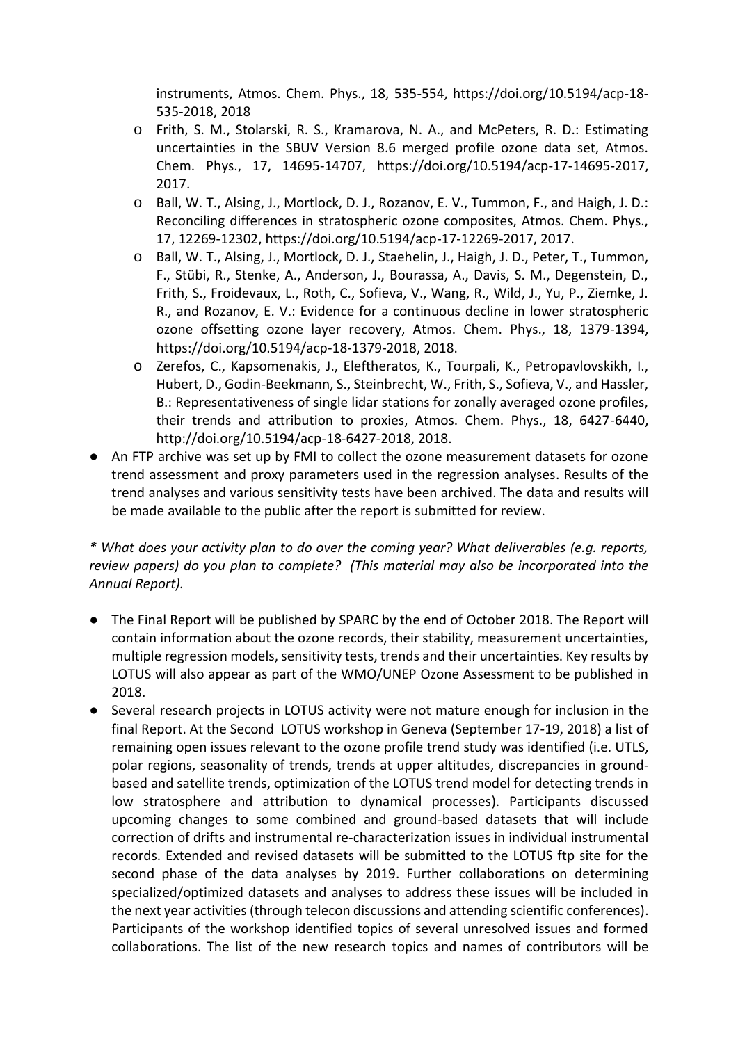instruments, Atmos. Chem. Phys., 18, 535-554, https://doi.org/10.5194/acp-18- 535-2018, 2018

- o Frith, S. M., Stolarski, R. S., Kramarova, N. A., and McPeters, R. D.: Estimating uncertainties in the SBUV Version 8.6 merged profile ozone data set, Atmos. Chem. Phys., 17, 14695-14707, https://doi.org/10.5194/acp-17-14695-2017, 2017.
- o Ball, W. T., Alsing, J., Mortlock, D. J., Rozanov, E. V., Tummon, F., and Haigh, J. D.: Reconciling differences in stratospheric ozone composites, Atmos. Chem. Phys., 17, 12269-12302, https://doi.org/10.5194/acp-17-12269-2017, 2017.
- o Ball, W. T., Alsing, J., Mortlock, D. J., Staehelin, J., Haigh, J. D., Peter, T., Tummon, F., Stübi, R., Stenke, A., Anderson, J., Bourassa, A., Davis, S. M., Degenstein, D., Frith, S., Froidevaux, L., Roth, C., Sofieva, V., Wang, R., Wild, J., Yu, P., Ziemke, J. R., and Rozanov, E. V.: Evidence for a continuous decline in lower stratospheric ozone offsetting ozone layer recovery, Atmos. Chem. Phys., 18, 1379-1394, https://doi.org/10.5194/acp-18-1379-2018, 2018.
- o Zerefos, C., Kapsomenakis, J., Eleftheratos, K., Tourpali, K., Petropavlovskikh, I., Hubert, D., Godin-Beekmann, S., Steinbrecht, W., Frith, S., Sofieva, V., and Hassler, B.: Representativeness of single lidar stations for zonally averaged ozone profiles, their trends and attribution to proxies, Atmos. Chem. Phys., 18, 6427-6440, http://doi.org/10.5194/acp-18-6427-2018, 2018.
- An FTP archive was set up by FMI to collect the ozone measurement datasets for ozone trend assessment and proxy parameters used in the regression analyses. Results of the trend analyses and various sensitivity tests have been archived. The data and results will be made available to the public after the report is submitted for review.

*\* What does your activity plan to do over the coming year? What deliverables (e.g. reports, review papers) do you plan to complete? (This material may also be incorporated into the Annual Report).*

- The Final Report will be published by SPARC by the end of October 2018. The Report will contain information about the ozone records, their stability, measurement uncertainties, multiple regression models, sensitivity tests, trends and their uncertainties. Key results by LOTUS will also appear as part of the WMO/UNEP Ozone Assessment to be published in 2018.
- Several research projects in LOTUS activity were not mature enough for inclusion in the final Report. At the Second LOTUS workshop in Geneva (September 17-19, 2018) a list of remaining open issues relevant to the ozone profile trend study was identified (i.e. UTLS, polar regions, seasonality of trends, trends at upper altitudes, discrepancies in groundbased and satellite trends, optimization of the LOTUS trend model for detecting trends in low stratosphere and attribution to dynamical processes). Participants discussed upcoming changes to some combined and ground-based datasets that will include correction of drifts and instrumental re-characterization issues in individual instrumental records. Extended and revised datasets will be submitted to the LOTUS ftp site for the second phase of the data analyses by 2019. Further collaborations on determining specialized/optimized datasets and analyses to address these issues will be included in the next year activities (through telecon discussions and attending scientific conferences). Participants of the workshop identified topics of several unresolved issues and formed collaborations. The list of the new research topics and names of contributors will be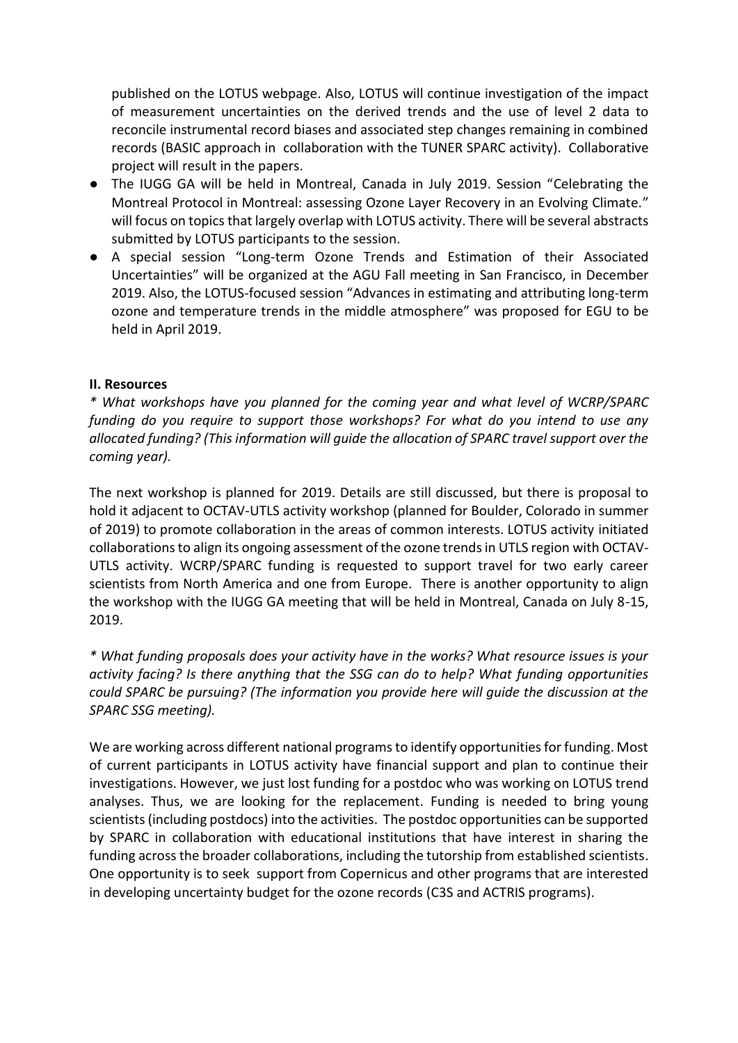published on the LOTUS webpage. Also, LOTUS will continue investigation of the impact of measurement uncertainties on the derived trends and the use of level 2 data to reconcile instrumental record biases and associated step changes remaining in combined records (BASIC approach in collaboration with the TUNER SPARC activity). Collaborative project will result in the papers.

- The IUGG GA will be held in Montreal, Canada in July 2019. Session "Celebrating the Montreal Protocol in Montreal: assessing Ozone Layer Recovery in an Evolving Climate." will focus on topics that largely overlap with LOTUS activity. There will be several abstracts submitted by LOTUS participants to the session.
- A special session "Long-term Ozone Trends and Estimation of their Associated Uncertainties" will be organized at the AGU Fall meeting in San Francisco, in December 2019. Also, the LOTUS-focused session "Advances in estimating and attributing long-term ozone and temperature trends in the middle atmosphere" was proposed for EGU to be held in April 2019.

### **II. Resources**

*\* What workshops have you planned for the coming year and what level of WCRP/SPARC funding do you require to support those workshops? For what do you intend to use any allocated funding? (This information will guide the allocation of SPARC travel support over the coming year).*

The next workshop is planned for 2019. Details are still discussed, but there is proposal to hold it adjacent to OCTAV-UTLS activity workshop (planned for Boulder, Colorado in summer of 2019) to promote collaboration in the areas of common interests. LOTUS activity initiated collaborations to align its ongoing assessment of the ozone trends in UTLS region with OCTAV-UTLS activity. WCRP/SPARC funding is requested to support travel for two early career scientists from North America and one from Europe. There is another opportunity to align the workshop with the IUGG GA meeting that will be held in Montreal, Canada on July 8-15, 2019.

*\* What funding proposals does your activity have in the works? What resource issues is your activity facing? Is there anything that the SSG can do to help? What funding opportunities could SPARC be pursuing? (The information you provide here will guide the discussion at the SPARC SSG meeting).*

We are working across different national programs to identify opportunities for funding. Most of current participants in LOTUS activity have financial support and plan to continue their investigations. However, we just lost funding for a postdoc who was working on LOTUS trend analyses. Thus, we are looking for the replacement. Funding is needed to bring young scientists(including postdocs) into the activities. The postdoc opportunities can be supported by SPARC in collaboration with educational institutions that have interest in sharing the funding across the broader collaborations, including the tutorship from established scientists. One opportunity is to seek support from Copernicus and other programs that are interested in developing uncertainty budget for the ozone records (C3S and ACTRIS programs).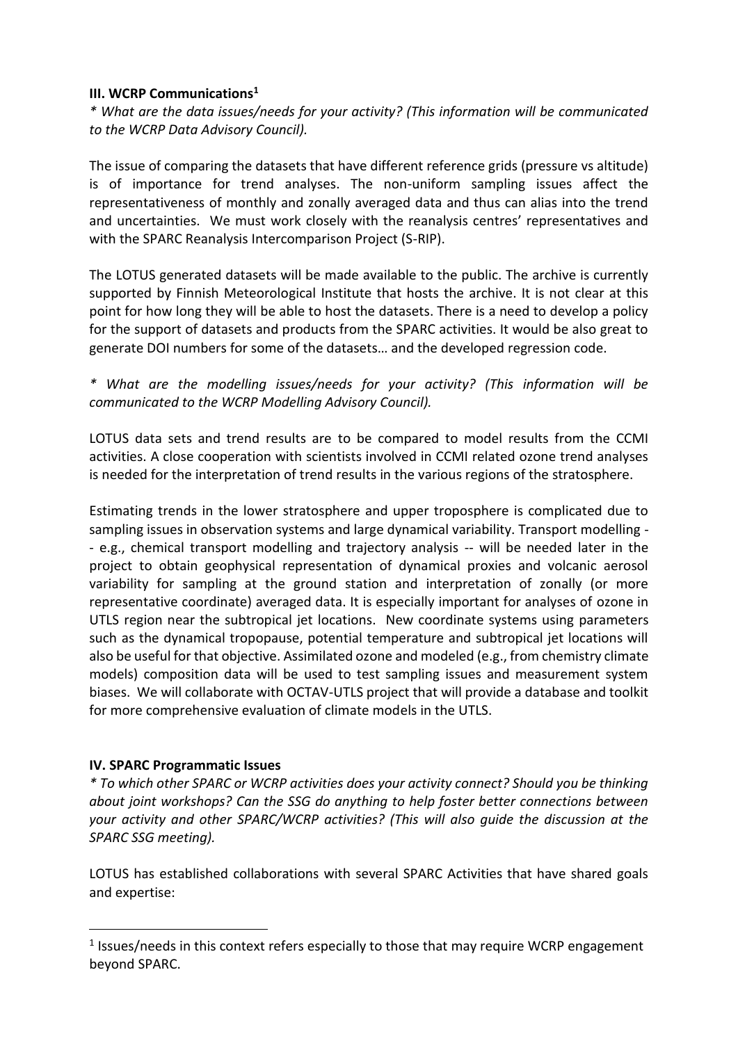#### **III. WCRP Communications<sup>1</sup>**

*\* What are the data issues/needs for your activity? (This information will be communicated to the WCRP Data Advisory Council).*

The issue of comparing the datasets that have different reference grids (pressure vs altitude) is of importance for trend analyses. The non-uniform sampling issues affect the representativeness of monthly and zonally averaged data and thus can alias into the trend and uncertainties. We must work closely with the reanalysis centres' representatives and with the SPARC Reanalysis Intercomparison Project (S-RIP).

The LOTUS generated datasets will be made available to the public. The archive is currently supported by Finnish Meteorological Institute that hosts the archive. It is not clear at this point for how long they will be able to host the datasets. There is a need to develop a policy for the support of datasets and products from the SPARC activities. It would be also great to generate DOI numbers for some of the datasets… and the developed regression code.

*\* What are the modelling issues/needs for your activity? (This information will be communicated to the WCRP Modelling Advisory Council).*

LOTUS data sets and trend results are to be compared to model results from the CCMI activities. A close cooperation with scientists involved in CCMI related ozone trend analyses is needed for the interpretation of trend results in the various regions of the stratosphere.

Estimating trends in the lower stratosphere and upper troposphere is complicated due to sampling issues in observation systems and large dynamical variability. Transport modelling - - e.g., chemical transport modelling and trajectory analysis -- will be needed later in the project to obtain geophysical representation of dynamical proxies and volcanic aerosol variability for sampling at the ground station and interpretation of zonally (or more representative coordinate) averaged data. It is especially important for analyses of ozone in UTLS region near the subtropical jet locations. New coordinate systems using parameters such as the dynamical tropopause, potential temperature and subtropical jet locations will also be useful for that objective. Assimilated ozone and modeled (e.g., from chemistry climate models) composition data will be used to test sampling issues and measurement system biases. We will collaborate with OCTAV-UTLS project that will provide a database and toolkit for more comprehensive evaluation of climate models in the UTLS.

# **IV. SPARC Programmatic Issues**

-

*\* To which other SPARC or WCRP activities does your activity connect? Should you be thinking about joint workshops? Can the SSG do anything to help foster better connections between your activity and other SPARC/WCRP activities? (This will also guide the discussion at the SPARC SSG meeting).*

LOTUS has established collaborations with several SPARC Activities that have shared goals and expertise:

<sup>&</sup>lt;sup>1</sup> Issues/needs in this context refers especially to those that may require WCRP engagement beyond SPARC.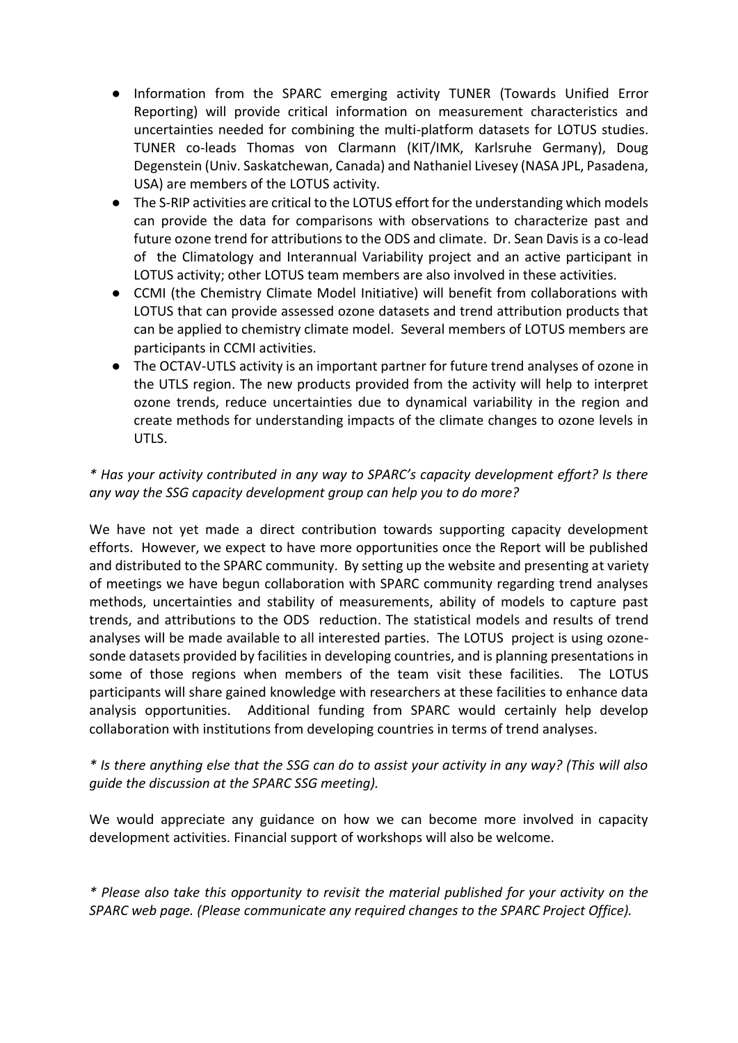- Information from the SPARC emerging activity TUNER (Towards Unified Error Reporting) will provide critical information on measurement characteristics and uncertainties needed for combining the multi-platform datasets for LOTUS studies. TUNER co-leads Thomas von Clarmann (KIT/IMK, Karlsruhe Germany), Doug Degenstein (Univ. Saskatchewan, Canada) and Nathaniel Livesey (NASA JPL, Pasadena, USA) are members of the LOTUS activity.
- The S-RIP activities are critical to the LOTUS effort for the understanding which models can provide the data for comparisons with observations to characterize past and future ozone trend for attributions to the ODS and climate. Dr. Sean Davis is a co-lead of the Climatology and Interannual Variability project and an active participant in LOTUS activity; other LOTUS team members are also involved in these activities.
- CCMI (the Chemistry Climate Model Initiative) will benefit from collaborations with LOTUS that can provide assessed ozone datasets and trend attribution products that can be applied to chemistry climate model. Several members of LOTUS members are participants in CCMI activities.
- The OCTAV-UTLS activity is an important partner for future trend analyses of ozone in the UTLS region. The new products provided from the activity will help to interpret ozone trends, reduce uncertainties due to dynamical variability in the region and create methods for understanding impacts of the climate changes to ozone levels in UTLS.

# *\* Has your activity contributed in any way to SPARC's capacity development effort? Is there any way the SSG capacity development group can help you to do more?*

We have not yet made a direct contribution towards supporting capacity development efforts. However, we expect to have more opportunities once the Report will be published and distributed to the SPARC community. By setting up the website and presenting at variety of meetings we have begun collaboration with SPARC community regarding trend analyses methods, uncertainties and stability of measurements, ability of models to capture past trends, and attributions to the ODS reduction. The statistical models and results of trend analyses will be made available to all interested parties. The LOTUS project is using ozonesonde datasets provided by facilities in developing countries, and is planning presentations in some of those regions when members of the team visit these facilities. The LOTUS participants will share gained knowledge with researchers at these facilities to enhance data analysis opportunities. Additional funding from SPARC would certainly help develop collaboration with institutions from developing countries in terms of trend analyses.

# *\* Is there anything else that the SSG can do to assist your activity in any way? (This will also guide the discussion at the SPARC SSG meeting).*

We would appreciate any guidance on how we can become more involved in capacity development activities. Financial support of workshops will also be welcome.

*\* Please also take this opportunity to revisit the material published for your activity on the SPARC web page. (Please communicate any required changes to the SPARC Project Office).*